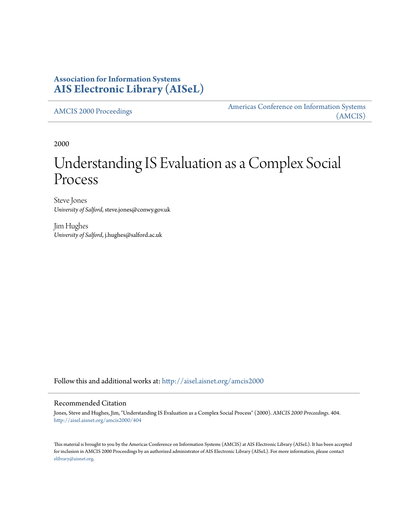# **Association for Information Systems [AIS Electronic Library \(AISeL\)](http://aisel.aisnet.org?utm_source=aisel.aisnet.org%2Famcis2000%2F404&utm_medium=PDF&utm_campaign=PDFCoverPages)**

[AMCIS 2000 Proceedings](http://aisel.aisnet.org/amcis2000?utm_source=aisel.aisnet.org%2Famcis2000%2F404&utm_medium=PDF&utm_campaign=PDFCoverPages)

[Americas Conference on Information Systems](http://aisel.aisnet.org/amcis?utm_source=aisel.aisnet.org%2Famcis2000%2F404&utm_medium=PDF&utm_campaign=PDFCoverPages) [\(AMCIS\)](http://aisel.aisnet.org/amcis?utm_source=aisel.aisnet.org%2Famcis2000%2F404&utm_medium=PDF&utm_campaign=PDFCoverPages)

2000

# Understanding IS Evaluation as a Complex Social Process

Steve Jones *University of Salford*, steve.jones@conwy.gov.uk

Jim Hughes *University of Salford*, j.hughes@salford.ac.uk

Follow this and additional works at: [http://aisel.aisnet.org/amcis2000](http://aisel.aisnet.org/amcis2000?utm_source=aisel.aisnet.org%2Famcis2000%2F404&utm_medium=PDF&utm_campaign=PDFCoverPages)

#### Recommended Citation

Jones, Steve and Hughes, Jim, "Understanding IS Evaluation as a Complex Social Process" (2000). *AMCIS 2000 Proceedings*. 404. [http://aisel.aisnet.org/amcis2000/404](http://aisel.aisnet.org/amcis2000/404?utm_source=aisel.aisnet.org%2Famcis2000%2F404&utm_medium=PDF&utm_campaign=PDFCoverPages)

This material is brought to you by the Americas Conference on Information Systems (AMCIS) at AIS Electronic Library (AISeL). It has been accepted for inclusion in AMCIS 2000 Proceedings by an authorized administrator of AIS Electronic Library (AISeL). For more information, please contact [elibrary@aisnet.org.](mailto:elibrary@aisnet.org%3E)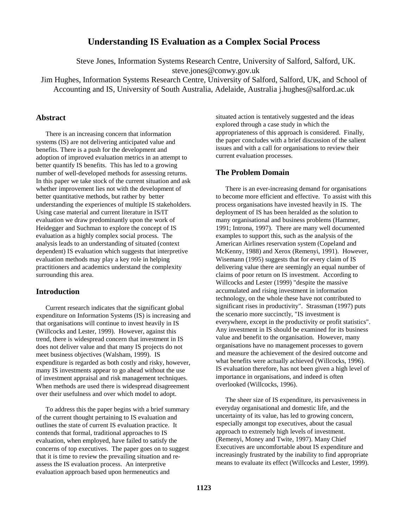# **Understanding IS Evaluation as a Complex Social Process**

Steve Jones, Information Systems Research Centre, University of Salford, Salford, UK. steve.jones@conwy.gov.uk

Jim Hughes, Information Systems Research Centre, University of Salford, Salford, UK, and School of Accounting and IS, University of South Australia, Adelaide, Australia j.hughes@salford.ac.uk

## **Abstract**

There is an increasing concern that information systems (IS) are not delivering anticipated value and benefits. There is a push for the development and adoption of improved evaluation metrics in an attempt to better quantify IS benefits. This has led to a growing number of well-developed methods for assessing returns. In this paper we take stock of the current situation and ask whether improvement lies not with the development of better quantitative methods, but rather by better understanding the experiences of multiple IS stakeholders. Using case material and current literature in IS/IT evaluation we draw predominantly upon the work of Heidegger and Suchman to explore the concept of IS evaluation as a highly complex social process. The analysis leads to an understanding of situated (context dependent) IS evaluation which suggests that interpretive evaluation methods may play a key role in helping practitioners and academics understand the complexity surrounding this area.

## **Introduction**

Current research indicates that the significant global expenditure on Information Systems (IS) is increasing and that organisations will continue to invest heavily in IS (Willcocks and Lester, 1999). However, against this trend, there is widespread concern that investment in IS does not deliver value and that many IS projects do not meet business objectives (Walsham, 1999). IS expenditure is regarded as both costly and risky, however, many IS investments appear to go ahead without the use of investment appraisal and risk management techniques. When methods are used there is widespread disagreement over their usefulness and over which model to adopt.

To address this the paper begins with a brief summary of the current thought pertaining to IS evaluation and outlines the state of current IS evaluation practice. It contends that formal, traditional approaches to IS evaluation, when employed, have failed to satisfy the concerns of top executives. The paper goes on to suggest that it is time to review the prevailing situation and reassess the IS evaluation process. An interpretive evaluation approach based upon hermeneutics and

situated action is tentatively suggested and the ideas explored through a case study in which the appropriateness of this approach is considered. Finally, the paper concludes with a brief discussion of the salient issues and with a call for organisations to review their current evaluation processes.

## **The Problem Domain**

There is an ever-increasing demand for organisations to become more efficient and effective. To assist with this process organisations have invested heavily in IS. The deployment of IS has been heralded as the solution to many organisational and business problems (Hammer, 1991; Introna, 1997). There are many well documented examples to support this, such as the analysis of the American Airlines reservation system (Copeland and McKenny, 1988) and Xerox (Remenyi, 1991). However, Wisemann (1995) suggests that for every claim of IS delivering value there are seemingly an equal number of claims of poor return on IS investment. According to Willcocks and Lester (1999) "despite the massive accumulated and rising investment in information technology, on the whole these have not contributed to significant rises in productivity". Strassman (1997) puts the scenario more succinctly, "IS investment is everywhere, except in the productivity or profit statistics". Any investment in IS should be examined for its business value and benefit to the organisation. However, many organisations have no management processes to govern and measure the achievement of the desired outcome and what benefits were actually achieved (Willcocks, 1996). IS evaluation therefore, has not been given a high level of importance in organisations, and indeed is often overlooked (Willcocks, 1996).

The sheer size of IS expenditure, its pervasiveness in everyday organisational and domestic life, and the uncertainty of its value, has led to growing concern, especially amongst top executives, about the casual approach to extremely high levels of investment. (Remenyi, Money and Twite, 1997). Many Chief Executives are uncomfortable about IS expenditure and increasingly frustrated by the inability to find appropriate means to evaluate its effect (Willcocks and Lester, 1999).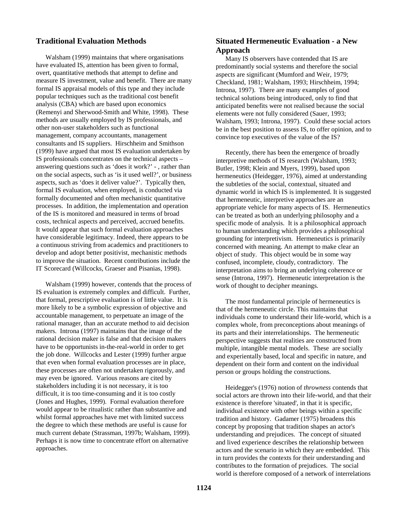# **Traditional Evaluation Methods**

Walsham (1999) maintains that where organisations have evaluated IS, attention has been given to formal, overt, quantitative methods that attempt to define and measure IS investment, value and benefit. There are many formal IS appraisal models of this type and they include popular techniques such as the traditional cost benefit analysis (CBA) which are based upon economics (Remenyi and Sherwood-Smith and White, 1998). These methods are usually employed by IS professionals, and other non-user stakeholders such as functional management, company accountants, management consultants and IS suppliers. Hirschheim and Smithson (1999) have argued that most IS evaluation undertaken by IS professionals concentrates on the technical aspects – answering questions such as 'does it work?' - , rather than on the social aspects, such as 'is it used well?', or business aspects, such as 'does it deliver value?'. Typically then, formal IS evaluation, when employed, is conducted via formally documented and often mechanistic quantitative processes. In addition, the implementation and operation of the IS is monitored and measured in terms of broad costs, technical aspects and perceived, accrued benefits. It would appear that such formal evaluation approaches have considerable legitimacy. Indeed, there appears to be a continuous striving from academics and practitioners to develop and adopt better positivist, mechanistic methods to improve the situation. Recent contributions include the IT Scorecard (Willcocks, Graeser and Pisanias, 1998).

Walsham (1999) however, contends that the process of IS evaluation is extremely complex and difficult. Further, that formal, prescriptive evaluation is of little value. It is more likely to be a symbolic expression of objective and accountable management, to perpetuate an image of the rational manager, than an accurate method to aid decision makers. Introna (1997) maintains that the image of the rational decision maker is false and that decision makers have to be opportunists in-the-real-world in order to get the job done. Willcocks and Lester (1999) further argue that even when formal evaluation processes are in place, these processes are often not undertaken rigorously, and may even be ignored. Various reasons are cited by stakeholders including it is not necessary, it is too difficult, it is too time-consuming and it is too costly (Jones and Hughes, 1999). Formal evaluation therefore would appear to be ritualistic rather than substantive and whilst formal approaches have met with limited success the degree to which these methods are useful is cause for much current debate (Strassman, 1997b; Walsham, 1999). Perhaps it is now time to concentrate effort on alternative approaches.

# **Situated Hermeneutic Evaluation - a New Approach**

Many IS observers have contended that IS are predominantly social systems and therefore the social aspects are significant (Mumford and Weir, 1979; Checkland, 1981; Walsham, 1993; Hirschheim, 1994; Introna, 1997). There are many examples of good technical solutions being introduced, only to find that anticipated benefits were not realised because the social elements were not fully considered (Sauer, 1993; Walsham, 1993; Introna, 1997). Could these social actors be in the best position to assess IS, to offer opinion, and to convince top executives of the value of the IS?

Recently, there has been the emergence of broadly interpretive methods of IS research (Walsham, 1993; Butler, 1998; Klein and Myers, 1999), based upon hermeneutics (Heidegger, 1976), aimed at understanding the subtleties of the social, contextual, situated and dynamic world in which IS is implemented. It is suggested that hermeneutic, interpretive approaches are an appropriate vehicle for many aspects of IS. Hermeneutics can be treated as both an underlying philosophy and a specific mode of analysis. It is a philosophical approach to human understanding which provides a philosophical grounding for interpretivism. Hermeneutics is primarily concerned with meaning. An attempt to make clear an object of study. This object would be in some way confused, incomplete, cloudy, contradictory. The interpretation aims to bring an underlying coherence or sense (Introna, 1997). Hermeneutic interpretation is the work of thought to decipher meanings.

The most fundamental principle of hermeneutics is that of the hermeneutic circle. This maintains that individuals come to understand their life-world, which is a complex whole, from preconceptions about meanings of its parts and their interrelationships. The hermeneutic perspective suggests that realities are constructed from multiple, intangible mental models. These are socially and experientally based, local and specific in nature, and dependent on their form and content on the individual person or groups holding the constructions.

Heidegger's (1976) notion of *throwness* contends that social actors are thrown into their life-world, and that their existence is therefore 'situated', in that it is specific, individual existence with other beings within a specific tradition and history. Gadamer (1975) broadens this concept by proposing that tradition shapes an actor's understanding and prejudices. The concept of situated and lived experience describes the relationship between actors and the scenario in which they are embedded. This in turn provides the contexts for their understanding and contributes to the formation of prejudices. The social world is therefore composed of a network of interrelations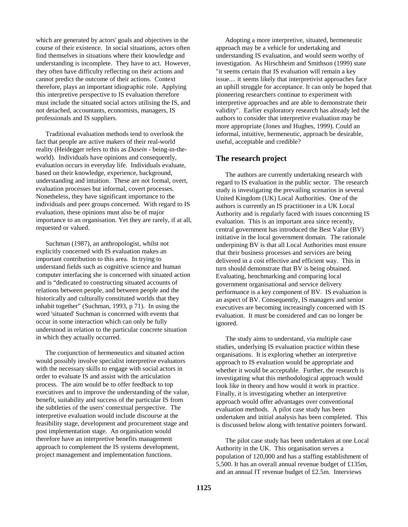which are generated by actors' goals and objectives in the course of their existence. In social situations, actors often find themselves in situations where their knowledge and understanding is incomplete. They have to act. However, they often have difficulty reflecting on their actions and cannot predict the outcome of their actions. Context therefore, plays an important idiographic role. Applying this interpretive perspective to IS evaluation therefore must include the situated social actors utilising the IS, and not detached, accountants, economists, managers, IS professionals and IS suppliers.

Traditional evaluation methods tend to overlook the fact that people are active makers of their real-world reality (Heidegger refers to this as *Dasein* - being-in-theworld). Individuals have opinions and consequently, evaluation occurs in everyday life. Individuals evaluate, based on their knowledge, experience, background, understanding and intuition. These are not formal, overt, evaluation processes but informal, covert processes. Nonetheless, they have significant importance to the individuals and peer groups concerned. With regard to IS evaluation, these opinions must also be of major importance to an organisation. Yet they are rarely, if at all, requested or valued.

Suchman (1987), an anthropologist, whilst not explicitly concerned with IS evaluation makes an important contribution to this area. In trying to understand fields such as cognitive science and human computer interfacing she is concerned with situated action and is "dedicated to constructing situated accounts of relations between people, and between people and the historically and culturally constituted worlds that they inhabit together" (Suchman, 1993, p 71). In using the word 'situated' Suchman is concerned with events that occur in some interaction which can only be fully understood in relation to the particular concrete situation in which they actually occurred.

The conjunction of hermeneutics and situated action would possibly involve specialist interpretive evaluators with the necessary skills to engage with social actors in order to evaluate IS and assist with the articulation process. The aim would be to offer feedback to top executives and to improve the understanding of the value, benefit, suitability and success of the particular IS from the subtleties of the users' contextual perspective. The interpretive evaluation would include discourse at the feasibility stage, development and procurement stage and post implementation stage. An organisation would therefore have an interpretive benefits management approach to complement the IS systems development, project management and implementation functions.

Adopting a more interpretive, situated, hermeneutic approach may be a vehicle for undertaking and understanding IS evaluation, and would seem worthy of investigation. As Hirschheim and Smithson (1999) state "it seems certain that IS evaluation will remain a key issue.... it seems likely that interpretivist approaches face an uphill struggle for acceptance. It can only be hoped that pioneering researchers continue to experiment with interpretive approaches and are able to demonstrate their validity". Earlier exploratory research has already led the authors to consider that interpretive evaluation may be more appropriate (Jones and Hughes, 1999). Could an informal, intuitive, hermeneutic, approach be desirable, useful, acceptable and credible?

# **The research project**

The authors are currently undertaking research with regard to IS evaluation in the public sector. The research study is investigating the prevailing scenarios in several United Kingdom (UK) Local Authorities. One of the authors is currently an IS practitioner in a UK Local Authority and is regularly faced with issues concerning IS evaluation. This is an important area since recently, central government has introduced the Best Value (BV) initiative in the local government domain. The rationale underpining BV is that all Local Authorities must ensure that their business processes and services are being delivered in a cost effective and efficient way. This in turn should demonstrate that BV is being obtained. Evaluating, benchmarking and comparing local government organisational and service delivery performance is a key component of BV. IS evaluation is an aspect of BV. Consequently, IS managers and senior executives are becoming increasingly concerned with IS evaluation. It must be considered and can no longer be ignored.

The study aims to understand, via multiple case studies, underlying IS evaluation practice within these organisations. It is exploring whether an interpretive approach to IS evaluation would be appropriate and whether it would be acceptable. Further, the research is investigating what this methodological approach would look like in theory and how would it work in practice. Finally, it is investigating whether an interpretive approach would offer advantages over conventional evaluation methods. A pilot case study has been undertaken and initial analysis has been completed. This is discussed below along with tentative pointers forward.

The pilot case study has been undertaken at one Local Authority in the UK. This organisation serves a population of 120,000 and has a staffing establishment of 5,500. It has an overall annual revenue budget of £135m, and an annual IT revenue budget of £2.5m. Interviews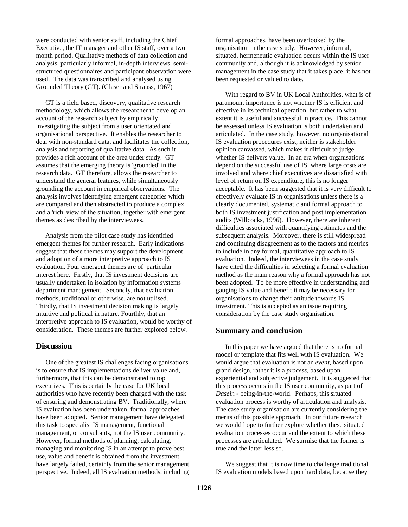were conducted with senior staff, including the Chief Executive, the IT manager and other IS staff, over a two month period. Qualitative methods of data collection and analysis, particularly informal, in-depth interviews, semistructured questionnaires and participant observation were used. The data was transcribed and analysed using Grounded Theory (GT). (Glaser and Strauss, 1967)

GT is a field based, discovery, qualitative research methodology, which allows the researcher to develop an account of the research subject by empirically investigating the subject from a user orientated and organisational perspective. It enables the researcher to deal with non-standard data, and facilitates the collection, analysis and reporting of qualitative data. As such it provides a rich account of the area under study. GT assumes that the emerging theory is 'grounded' in the research data. GT therefore, allows the researcher to understand the general features, while simultaneously grounding the account in empirical observations. The analysis involves identifying emergent categories which are compared and then abstracted to produce a complex and a 'rich' view of the situation, together with emergent themes as described by the interviewees.

Analysis from the pilot case study has identified emergent themes for further research. Early indications suggest that these themes may support the development and adoption of a more interpretive approach to IS evaluation. Four emergent themes are of particular interest here. Firstly, that IS investment decisions are usually undertaken in isolation by information systems department management. Secondly, that evaluation methods, traditional or otherwise, are not utilised. Thirdly, that IS investment decision making is largely intuitive and political in nature. Fourthly, that an interpretive approach to IS evaluation, would be worthy of consideration. These themes are further explored below.

#### **Discussion**

One of the greatest IS challenges facing organisations is to ensure that IS implementations deliver value and, furthermore, that this can be demonstrated to top executives. This is certainly the case for UK local authorities who have recently been charged with the task of ensuring and demonstrating BV. Traditionally, where IS evaluation has been undertaken, formal approaches have been adopted. Senior management have delegated this task to specialist IS management, functional management, or consultants, not the IS user community. However, formal methods of planning, calculating, managing and monitoring IS in an attempt to prove best use, value and benefit is obtained from the investment have largely failed, certainly from the senior management perspective. Indeed, all IS evaluation methods, including

formal approaches, have been overlooked by the organisation in the case study. However, informal, situated, hermeneutic evaluation occurs within the IS user community and, although it is acknowledged by senior management in the case study that it takes place, it has not been requested or valued to date.

With regard to BV in UK Local Authorities, what is of paramount importance is not whether IS is efficient and effective in its technical operation, but rather to what extent it is useful and successful in practice. This cannot be assessed unless IS evaluation is both undertaken and articulated. In the case study, however, no organisational IS evaluation procedures exist, neither is stakeholder opinion canvassed, which makes it difficult to judge whether IS delivers value. In an era when organisations depend on the successful use of IS, where large costs are involved and where chief executives are dissatisfied with level of return on IS expenditure, this is no longer acceptable. It has been suggested that it is very difficult to effectively evaluate IS in organisations unless there is a clearly documented, systematic and formal approach to both IS investment justification and post implementation audits (Willcocks, 1996). However, there are inherent difficulties associated with quantifying estimates and the subsequent analysis. Moreover, there is still widespread and continuing disagreement as to the factors and metrics to include in any formal, quantitative approach to IS evaluation. Indeed, the interviewees in the case study have cited the difficulties in selecting a formal evaluation method as the main reason why a formal approach has not been adopted. To be more effective in understanding and gauging IS value and benefit it may be necessary for organisations to change their attitude towards IS investment. This is accepted as an issue requiring consideration by the case study organisation.

#### **Summary and conclusion**

In this paper we have argued that there is no formal model or template that fits well with IS evaluation. We would argue that evaluation is not an *event,* based upon grand design, rather it is a *process*, based upon experiential and subjective judgement. It is suggested that this process occurs in the IS user community, as part of *Dasein* - being-in-the-world. Perhaps, this situated evaluation process is worthy of articulation and analysis. The case study organisation are currently considering the merits of this possible approach. In our future research we would hope to further explore whether these situated evaluation processes occur and the extent to which these processes are articulated. We surmise that the former is true and the latter less so.

We suggest that it is now time to challenge traditional IS evaluation models based upon hard data, because they